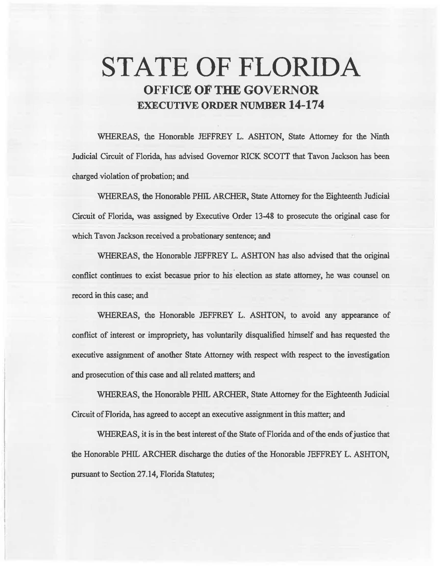# **STATE OF FLORIDA OFFICE OF THE GOVERNOR EXECUTIVE ORDER NUMBER 14-174**

WHEREAS, the Honorable JEFFREY L. ASHTON, State Attorney for the Ninth Judicial Circuit of Florida, has advised Governor RICK SCOTF that Tavon Jackson has been. charged violation of probation; and

WHEREAS, the Honorable PHIL ARCHER, State Attorney for the Eighteenth Jndicial Circuit of Florida, was assigned by Executive Order 13-48 to prosecute the original case for which Tavon Jackson received a probationary sentence; and

WHEREAS, the Honorable JEFFREY L. ASHTON has also advised that the original conflict continues to exist becasue prior to his election as state attorney, he was counsel on record in this case; and

WHEREAS, the Honorable JEFFREY L. ASHTON, to avoid any appearance of conflict of interest or impropriety, has voluntarily disqualified himself and has requested the executive assignment of another State Attorney with respect with respect to the investigation and prosecution of this case and all related matters; and

WHEREAS, the Honorable PHIL ARCHER, State Attorney for the Eighteenth Judicial Circuit of Florida, has agreed to accept an executive assignment in this matter; and

WHEREAS, it is in the best interest of the State of Florida and of the ends of justice that the Honorable PHIL ARCHER discharge the duties of the Honorable JEFFREY L. ASHTON, pursuant to Section 27.14, Florida Statutes;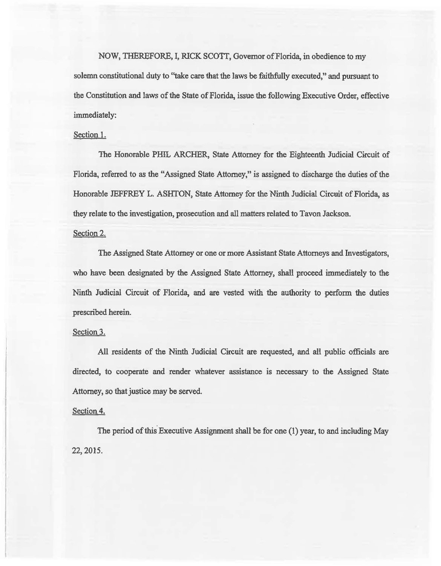NOW, THEREFORE, I, RICK SCOTT, Governor of Florida, in obedience to my solemn constitutional duty to ''take care that the laws be faithfully executed," and pursuant to the Constitution and laws of the State of Florida, issue the following Executive Order, effective immediately:

## Section<sub>1.</sub>

The Honorable PHIL ARCHER, State Attorney for the Eighteenth Judicial Circuit of Florida, referred to *as* the "Assigned State Attorney,'' is assigned to discharge the duties of the Honorable JEFFREY L. ASHTON, State Attorney for 1he Ninth Judicial Circuit of Florida, *as*  they relate to the investigation, prosecution and all matters related to Tavon Jackson.

#### Section 2.

The Assigned State Attomey or one or more Assistant State Attorneys and Investigators, who have been designated by the Assigned State Attorney, shall proceed immediately to the Ninth Judicial Circuit of Florida, and are vested with the authority to perform the duties prescribed herein.

### Section 3.

All residents of the Ninth Judicial Circuit are requested, and all public officials are directed, to cooperate and render whatever assistance is necessary to the Assigned State Attorney, so that justice may be served.

## Section 4.

The period of this Executive Assignment shall be for one (1) year, to and including May 22, 2015.